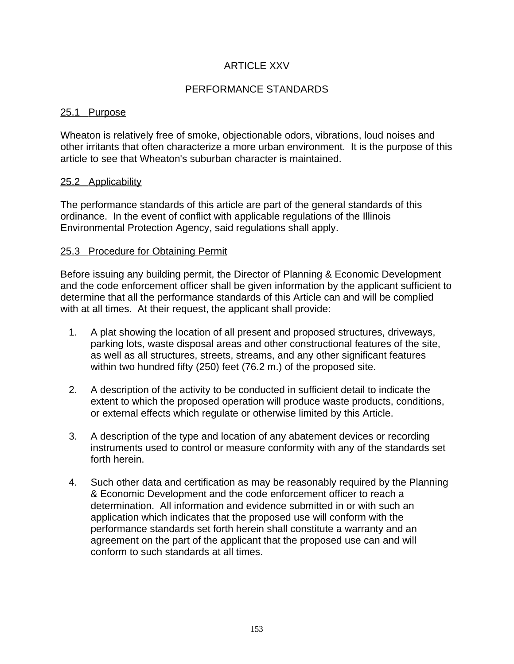# ARTICLE XXV

## PERFORMANCE STANDARDS

#### 25.1 Purpose

Wheaton is relatively free of smoke, objectionable odors, vibrations, loud noises and other irritants that often characterize a more urban environment. It is the purpose of this article to see that Wheaton's suburban character is maintained.

#### 25.2 Applicability

The performance standards of this article are part of the general standards of this ordinance. In the event of conflict with applicable regulations of the Illinois Environmental Protection Agency, said regulations shall apply.

#### 25.3 Procedure for Obtaining Permit

Before issuing any building permit, the Director of Planning & Economic Development and the code enforcement officer shall be given information by the applicant sufficient to determine that all the performance standards of this Article can and will be complied with at all times. At their request, the applicant shall provide:

- 1. A plat showing the location of all present and proposed structures, driveways, parking lots, waste disposal areas and other constructional features of the site, as well as all structures, streets, streams, and any other significant features within two hundred fifty (250) feet (76.2 m.) of the proposed site.
- 2. A description of the activity to be conducted in sufficient detail to indicate the extent to which the proposed operation will produce waste products, conditions, or external effects which regulate or otherwise limited by this Article.
- 3. A description of the type and location of any abatement devices or recording instruments used to control or measure conformity with any of the standards set forth herein.
- 4. Such other data and certification as may be reasonably required by the Planning & Economic Development and the code enforcement officer to reach a determination. All information and evidence submitted in or with such an application which indicates that the proposed use will conform with the performance standards set forth herein shall constitute a warranty and an agreement on the part of the applicant that the proposed use can and will conform to such standards at all times.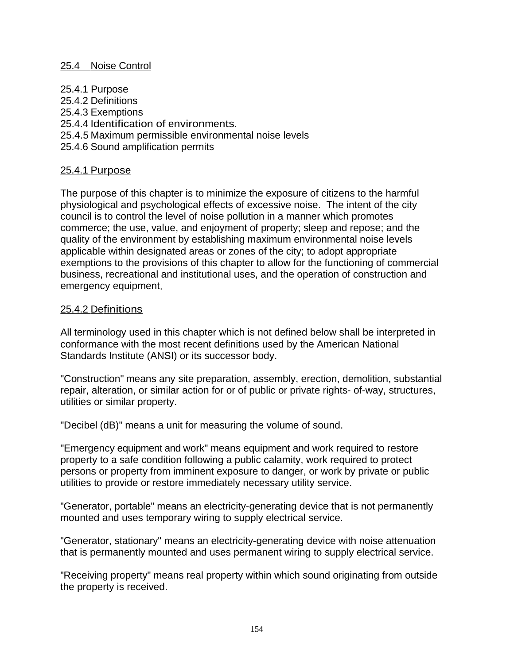#### 25.4 Noise Control

- 25.4.1 Purpose
- 25.4.2 Definitions
- 25.4.3 Exemptions
- 25.4.4 Identification of environments.
- 25.4.5 Maximum permissible environmental noise levels
- 25.4.6 Sound amplification permits

## 25.4.1 Purpose

The purpose of this chapter is to minimize the exposure of citizens to the harmful physiological and psychological effects of excessive noise. The intent of the city council is to control the level of noise pollution in a manner which promotes commerce; the use, value, and enjoyment of property; sleep and repose; and the quality of the environment by establishing maximum environmental noise levels applicable within designated areas or zones of the city; to adopt appropriate exemptions to the provisions of this chapter to allow for the functioning of commercial business, recreational and institutional uses, and the operation of construction and emergency equipment.

#### 25.4.2 Definitions

All terminology used in this chapter which is not defined below shall be interpreted in conformance with the most recent definitions used by the American National Standards Institute (ANSI) or its successor body.

"Construction" means any site preparation, assembly, erection, demolition, substantial repair, alteration, or similar action for or of public or private rights- of-way, structures, utilities or similar property.

"Decibel (dB)" means a unit for measuring the volume of sound.

"Emergency equipment and work" means equipment and work required to restore property to a safe condition following a public calamity, work required to protect persons or property from imminent exposure to danger, or work by private or public utilities to provide or restore immediately necessary utility service.

"Generator, portable" means an electricity-generating device that is not permanently mounted and uses temporary wiring to supply electrical service.

"Generator, stationary" means an electricity-generating device with noise attenuation that is permanently mounted and uses permanent wiring to supply electrical service.

"Receiving property" means real property within which sound originating from outside the property is received.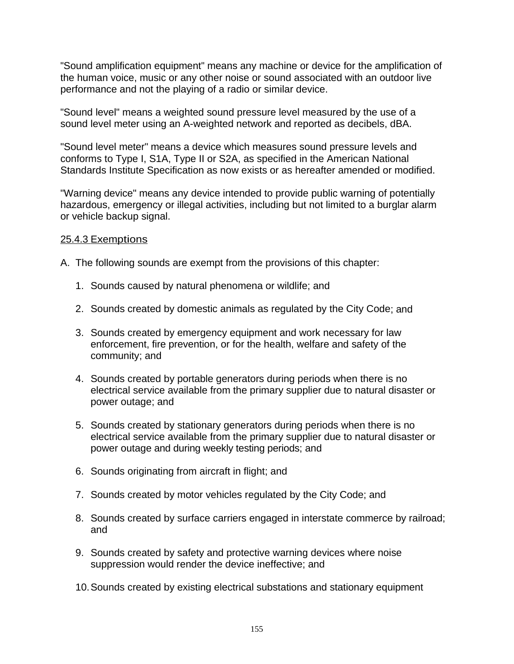"Sound amplification equipment" means any machine or device for the amplification of the human voice, music or any other noise or sound associated with an outdoor live performance and not the playing of a radio or similar device.

"Sound level" means a weighted sound pressure level measured by the use of a sound level meter using an A-weighted network and reported as decibels, dBA.

"Sound level meter" means a device which measures sound pressure levels and conforms to Type I, S1A, Type II or S2A, as specified in the American National Standards Institute Specification as now exists or as hereafter amended or modified.

"Warning device" means any device intended to provide public warning of potentially hazardous, emergency or illegal activities, including but not limited to a burglar alarm or vehicle backup signal.

## 25.4.3 Exemptions

- A. The following sounds are exempt from the provisions of this chapter:
	- 1. Sounds caused by natural phenomena or wildlife; and
	- 2. Sounds created by domestic animals as regulated by the City Code; and
	- 3. Sounds created by emergency equipment and work necessary for law enforcement, fire prevention, or for the health, welfare and safety of the community; and
	- 4. Sounds created by portable generators during periods when there is no electrical service available from the primary supplier due to natural disaster or power outage; and
	- 5. Sounds created by stationary generators during periods when there is no electrical service available from the primary supplier due to natural disaster or power outage and during weekly testing periods; and
	- 6. Sounds originating from aircraft in flight; and
	- 7. Sounds created by motor vehicles regulated by the City Code; and
	- 8. Sounds created by surface carriers engaged in interstate commerce by railroad; and
	- 9. Sounds created by safety and protective warning devices where noise suppression would render the device ineffective; and
	- 10.Sounds created by existing electrical substations and stationary equipment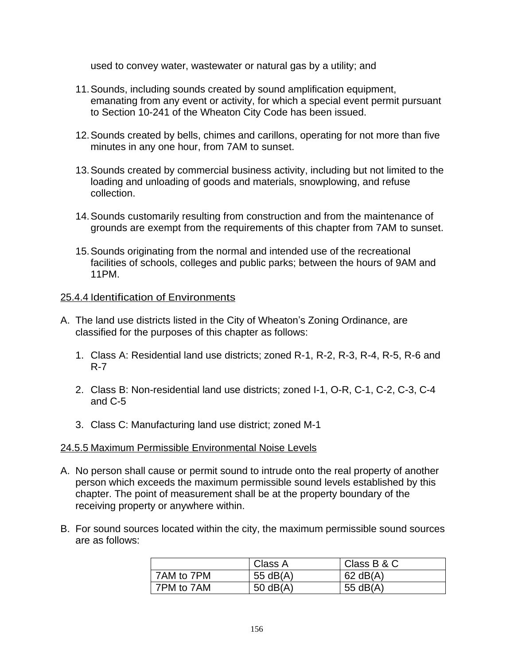used to convey water, wastewater or natural gas by a utility; and

- 11.Sounds, including sounds created by sound amplification equipment, emanating from any event or activity, for which a special event permit pursuant to Section 10-241 of the Wheaton City Code has been issued.
- 12.Sounds created by bells, chimes and carillons, operating for not more than five minutes in any one hour, from 7AM to sunset.
- 13.Sounds created by commercial business activity, including but not limited to the loading and unloading of goods and materials, snowplowing, and refuse collection.
- 14.Sounds customarily resulting from construction and from the maintenance of grounds are exempt from the requirements of this chapter from 7AM to sunset.
- 15.Sounds originating from the normal and intended use of the recreational facilities of schools, colleges and public parks; between the hours of 9AM and 11PM.

## 25.4.4 Identification of Environments

- A. The land use districts listed in the City of Wheaton's Zoning Ordinance, are classified for the purposes of this chapter as follows:
	- 1. Class A: Residential land use districts; zoned R-1, R-2, R-3, R-4, R-5, R-6 and R-7
	- 2. Class B: Non-residential land use districts; zoned I-1, O-R, C-1, C-2, C-3, C-4 and C-5
	- 3. Class C: Manufacturing land use district; zoned M-1

## 24.5.5 Maximum Permissible Environmental Noise Levels

- A. No person shall cause or permit sound to intrude onto the real property of another person which exceeds the maximum permissible sound levels established by this chapter. The point of measurement shall be at the property boundary of the receiving property or anywhere within.
- B. For sound sources located within the city, the maximum permissible sound sources are as follows:

|            | Class A    | Class B & C |
|------------|------------|-------------|
| 7AM to 7PM | 55 $dB(A)$ | $62$ dB(A)  |
| 7PM to 7AM | 50 $dB(A)$ | 55 $dB(A)$  |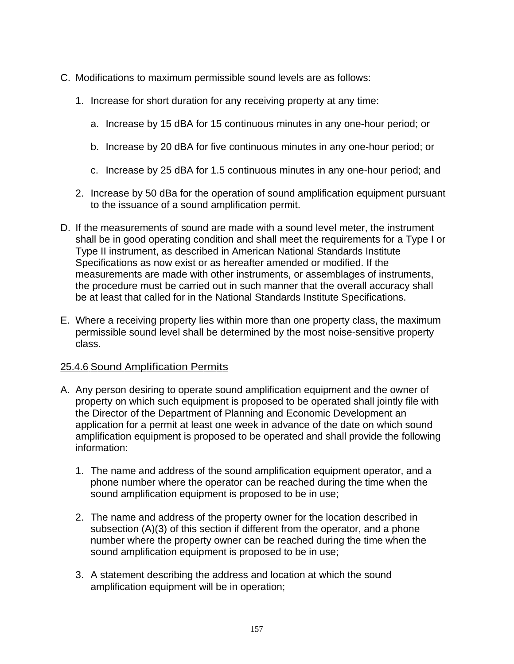- C. Modifications to maximum permissible sound levels are as follows:
	- 1. Increase for short duration for any receiving property at any time:
		- a. Increase by 15 dBA for 15 continuous minutes in any one-hour period; or
		- b. Increase by 20 dBA for five continuous minutes in any one-hour period; or
		- c. Increase by 25 dBA for 1.5 continuous minutes in any one-hour period; and
	- 2. Increase by 50 dBa for the operation of sound amplification equipment pursuant to the issuance of a sound amplification permit.
- D. If the measurements of sound are made with a sound level meter, the instrument shall be in good operating condition and shall meet the requirements for a Type I or Type II instrument, as described in American National Standards Institute Specifications as now exist or as hereafter amended or modified. If the measurements are made with other instruments, or assemblages of instruments, the procedure must be carried out in such manner that the overall accuracy shall be at least that called for in the National Standards Institute Specifications.
- E. Where a receiving property lies within more than one property class, the maximum permissible sound level shall be determined by the most noise-sensitive property class.

## 25.4.6 Sound Amplification Permits

- A. Any person desiring to operate sound amplification equipment and the owner of property on which such equipment is proposed to be operated shall jointly file with the Director of the Department of Planning and Economic Development an application for a permit at least one week in advance of the date on which sound amplification equipment is proposed to be operated and shall provide the following information:
	- 1. The name and address of the sound amplification equipment operator, and a phone number where the operator can be reached during the time when the sound amplification equipment is proposed to be in use;
	- 2. The name and address of the property owner for the location described in subsection (A)(3) of this section if different from the operator, and a phone number where the property owner can be reached during the time when the sound amplification equipment is proposed to be in use;
	- 3. A statement describing the address and location at which the sound amplification equipment will be in operation;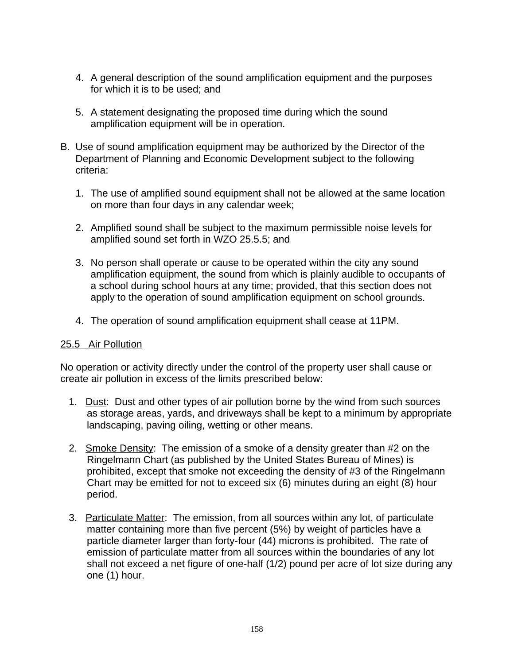- 4. A general description of the sound amplification equipment and the purposes for which it is to be used; and
- 5. A statement designating the proposed time during which the sound amplification equipment will be in operation.
- B. Use of sound amplification equipment may be authorized by the Director of the Department of Planning and Economic Development subject to the following criteria:
	- 1. The use of amplified sound equipment shall not be allowed at the same location on more than four days in any calendar week;
	- 2. Amplified sound shall be subject to the maximum permissible noise levels for amplified sound set forth in WZO 25.5.5; and
	- 3. No person shall operate or cause to be operated within the city any sound amplification equipment, the sound from which is plainly audible to occupants of a school during school hours at any time; provided, that this section does not apply to the operation of sound amplification equipment on school grounds.
	- 4. The operation of sound amplification equipment shall cease at 11PM.

## 25.5 Air Pollution

No operation or activity directly under the control of the property user shall cause or create air pollution in excess of the limits prescribed below:

- 1. Dust: Dust and other types of air pollution borne by the wind from such sources as storage areas, yards, and driveways shall be kept to a minimum by appropriate landscaping, paving oiling, wetting or other means.
- 2. Smoke Density: The emission of a smoke of a density greater than #2 on the Ringelmann Chart (as published by the United States Bureau of Mines) is prohibited, except that smoke not exceeding the density of #3 of the Ringelmann Chart may be emitted for not to exceed six (6) minutes during an eight (8) hour period.
- 3. Particulate Matter: The emission, from all sources within any lot, of particulate matter containing more than five percent (5%) by weight of particles have a particle diameter larger than forty-four (44) microns is prohibited. The rate of emission of particulate matter from all sources within the boundaries of any lot shall not exceed a net figure of one-half (1/2) pound per acre of lot size during any one (1) hour.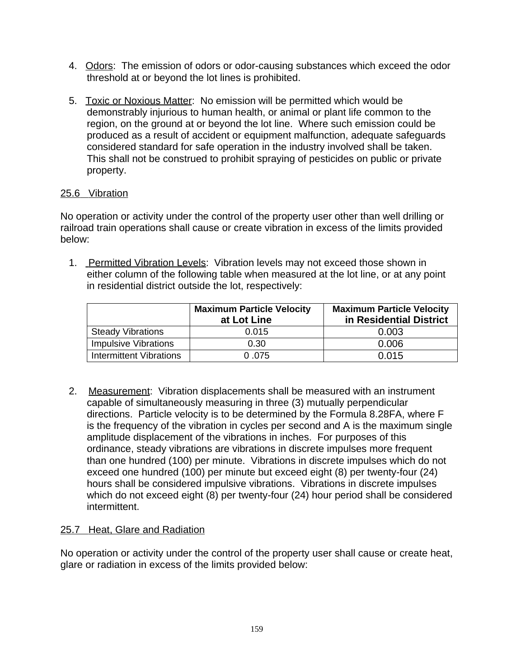- 4. Odors: The emission of odors or odor-causing substances which exceed the odor threshold at or beyond the lot lines is prohibited.
- 5. Toxic or Noxious Matter: No emission will be permitted which would be demonstrably injurious to human health, or animal or plant life common to the region, on the ground at or beyond the lot line. Where such emission could be produced as a result of accident or equipment malfunction, adequate safeguards considered standard for safe operation in the industry involved shall be taken. This shall not be construed to prohibit spraying of pesticides on public or private property.

# 25.6 Vibration

No operation or activity under the control of the property user other than well drilling or railroad train operations shall cause or create vibration in excess of the limits provided below:

 1. Permitted Vibration Levels: Vibration levels may not exceed those shown in either column of the following table when measured at the lot line, or at any point in residential district outside the lot, respectively:

|                             | <b>Maximum Particle Velocity</b><br>at Lot Line | <b>Maximum Particle Velocity</b><br>in Residential District |
|-----------------------------|-------------------------------------------------|-------------------------------------------------------------|
| <b>Steady Vibrations</b>    | 0.015                                           | 0.003                                                       |
| <b>Impulsive Vibrations</b> | 0.30                                            | 0.006                                                       |
| Intermittent Vibrations     | 0.075                                           | 0.015                                                       |

2. Measurement: Vibration displacements shall be measured with an instrument capable of simultaneously measuring in three (3) mutually perpendicular directions. Particle velocity is to be determined by the Formula 8.28FA, where F is the frequency of the vibration in cycles per second and A is the maximum single amplitude displacement of the vibrations in inches. For purposes of this ordinance, steady vibrations are vibrations in discrete impulses more frequent than one hundred (100) per minute. Vibrations in discrete impulses which do not exceed one hundred (100) per minute but exceed eight (8) per twenty-four (24) hours shall be considered impulsive vibrations. Vibrations in discrete impulses which do not exceed eight (8) per twenty-four (24) hour period shall be considered intermittent.

## 25.7 Heat, Glare and Radiation

No operation or activity under the control of the property user shall cause or create heat, glare or radiation in excess of the limits provided below: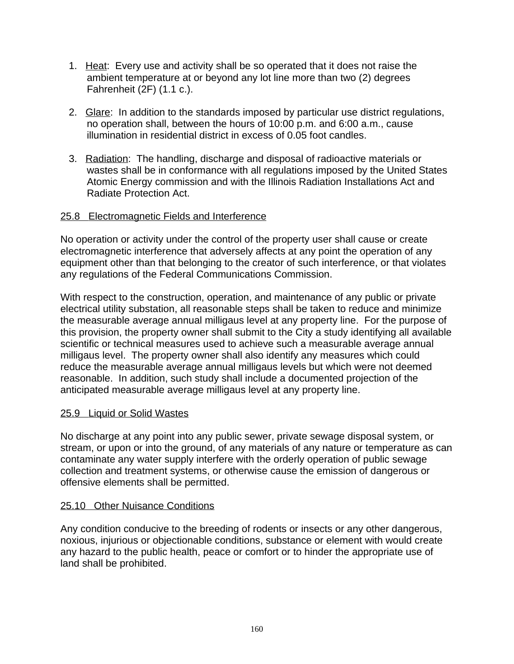- 1. Heat: Every use and activity shall be so operated that it does not raise the ambient temperature at or beyond any lot line more than two (2) degrees Fahrenheit (2F) (1.1 c.).
- 2. Glare: In addition to the standards imposed by particular use district regulations, no operation shall, between the hours of 10:00 p.m. and 6:00 a.m., cause illumination in residential district in excess of 0.05 foot candles.
- 3. Radiation: The handling, discharge and disposal of radioactive materials or wastes shall be in conformance with all regulations imposed by the United States Atomic Energy commission and with the Illinois Radiation Installations Act and Radiate Protection Act.

# 25.8 Electromagnetic Fields and Interference

No operation or activity under the control of the property user shall cause or create electromagnetic interference that adversely affects at any point the operation of any equipment other than that belonging to the creator of such interference, or that violates any regulations of the Federal Communications Commission.

With respect to the construction, operation, and maintenance of any public or private electrical utility substation, all reasonable steps shall be taken to reduce and minimize the measurable average annual milligaus level at any property line. For the purpose of this provision, the property owner shall submit to the City a study identifying all available scientific or technical measures used to achieve such a measurable average annual milligaus level. The property owner shall also identify any measures which could reduce the measurable average annual milligaus levels but which were not deemed reasonable. In addition, such study shall include a documented projection of the anticipated measurable average milligaus level at any property line.

## 25.9 Liquid or Solid Wastes

No discharge at any point into any public sewer, private sewage disposal system, or stream, or upon or into the ground, of any materials of any nature or temperature as can contaminate any water supply interfere with the orderly operation of public sewage collection and treatment systems, or otherwise cause the emission of dangerous or offensive elements shall be permitted.

## 25.10 Other Nuisance Conditions

Any condition conducive to the breeding of rodents or insects or any other dangerous, noxious, injurious or objectionable conditions, substance or element with would create any hazard to the public health, peace or comfort or to hinder the appropriate use of land shall be prohibited.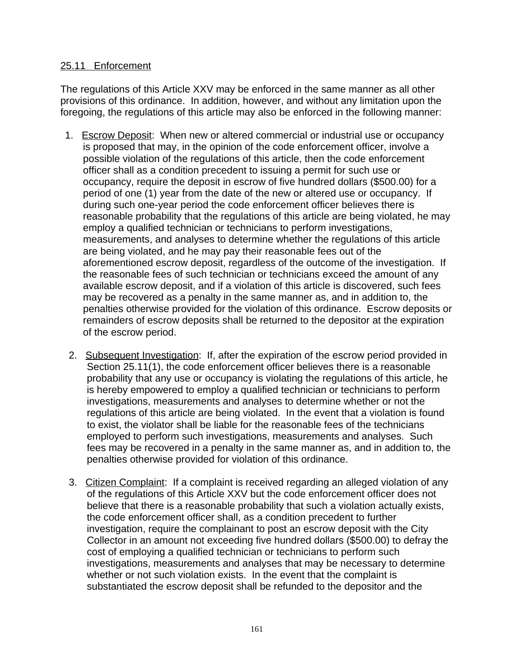## 25.11 Enforcement

The regulations of this Article XXV may be enforced in the same manner as all other provisions of this ordinance. In addition, however, and without any limitation upon the foregoing, the regulations of this article may also be enforced in the following manner:

- 1. Escrow Deposit: When new or altered commercial or industrial use or occupancy is proposed that may, in the opinion of the code enforcement officer, involve a possible violation of the regulations of this article, then the code enforcement officer shall as a condition precedent to issuing a permit for such use or occupancy, require the deposit in escrow of five hundred dollars (\$500.00) for a period of one (1) year from the date of the new or altered use or occupancy. If during such one-year period the code enforcement officer believes there is reasonable probability that the regulations of this article are being violated, he may employ a qualified technician or technicians to perform investigations, measurements, and analyses to determine whether the regulations of this article are being violated, and he may pay their reasonable fees out of the aforementioned escrow deposit, regardless of the outcome of the investigation. If the reasonable fees of such technician or technicians exceed the amount of any available escrow deposit, and if a violation of this article is discovered, such fees may be recovered as a penalty in the same manner as, and in addition to, the penalties otherwise provided for the violation of this ordinance. Escrow deposits or remainders of escrow deposits shall be returned to the depositor at the expiration of the escrow period.
- 2. Subsequent Investigation: If, after the expiration of the escrow period provided in Section 25.11(1), the code enforcement officer believes there is a reasonable probability that any use or occupancy is violating the regulations of this article, he is hereby empowered to employ a qualified technician or technicians to perform investigations, measurements and analyses to determine whether or not the regulations of this article are being violated. In the event that a violation is found to exist, the violator shall be liable for the reasonable fees of the technicians employed to perform such investigations, measurements and analyses. Such fees may be recovered in a penalty in the same manner as, and in addition to, the penalties otherwise provided for violation of this ordinance.
- 3. Citizen Complaint: If a complaint is received regarding an alleged violation of any of the regulations of this Article XXV but the code enforcement officer does not believe that there is a reasonable probability that such a violation actually exists, the code enforcement officer shall, as a condition precedent to further investigation, require the complainant to post an escrow deposit with the City Collector in an amount not exceeding five hundred dollars (\$500.00) to defray the cost of employing a qualified technician or technicians to perform such investigations, measurements and analyses that may be necessary to determine whether or not such violation exists. In the event that the complaint is substantiated the escrow deposit shall be refunded to the depositor and the